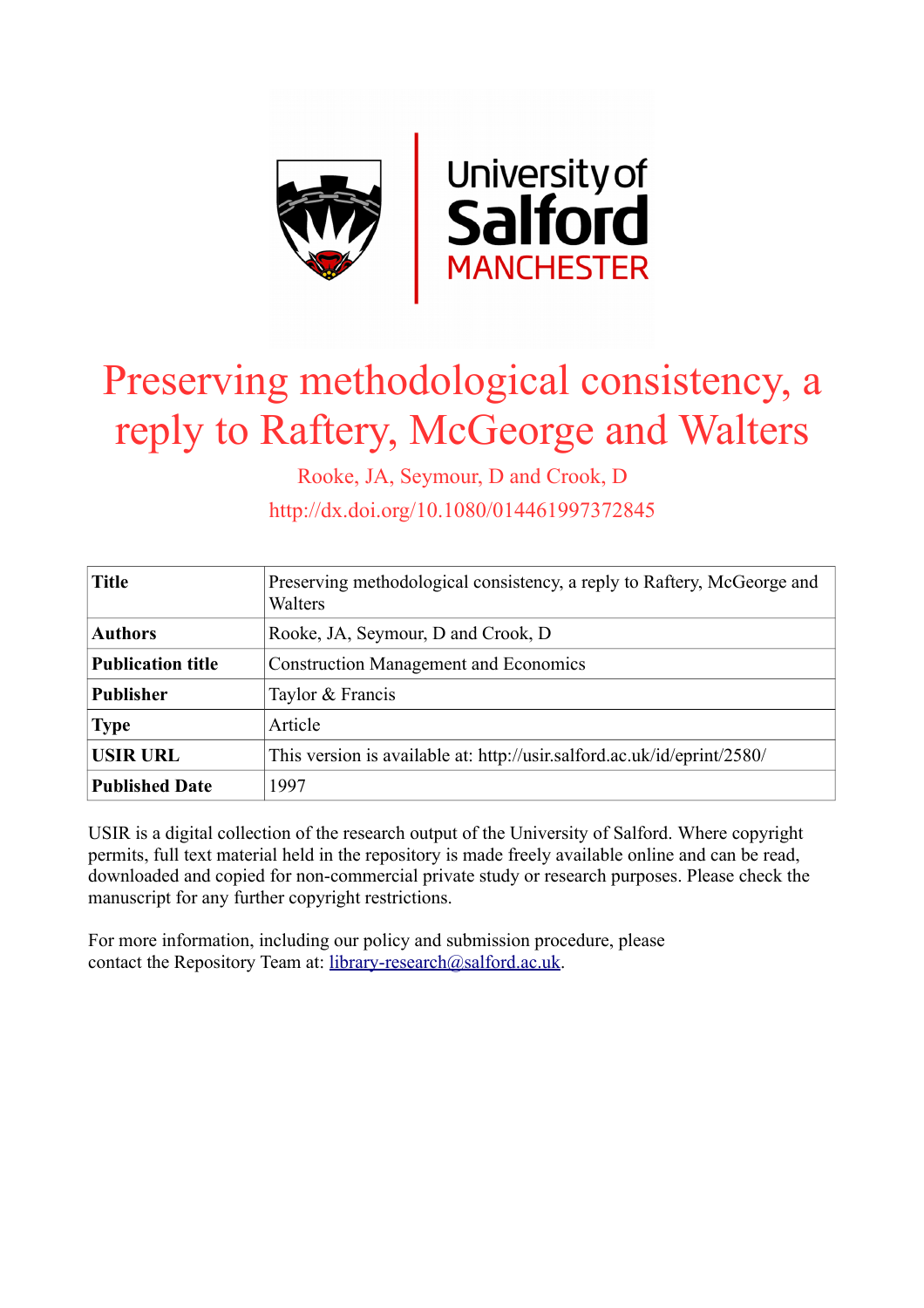

# Preserving methodological consistency, a reply to Raftery, McGeorge and Walters

Rooke, JA, Seymour, D and Crook, D

http://dx.doi.org/10.1080/014461997372845

| <b>Title</b>             | Preserving methodological consistency, a reply to Raftery, McGeorge and<br>Walters |
|--------------------------|------------------------------------------------------------------------------------|
| <b>Authors</b>           | Rooke, JA, Seymour, D and Crook, D                                                 |
| <b>Publication title</b> | <b>Construction Management and Economics</b>                                       |
| <b>Publisher</b>         | Taylor & Francis                                                                   |
| <b>Type</b>              | Article                                                                            |
| <b>USIR URL</b>          | This version is available at: http://usir.salford.ac.uk/id/eprint/2580/            |
| <b>Published Date</b>    | 1997                                                                               |

USIR is a digital collection of the research output of the University of Salford. Where copyright permits, full text material held in the repository is made freely available online and can be read, downloaded and copied for non-commercial private study or research purposes. Please check the manuscript for any further copyright restrictions.

For more information, including our policy and submission procedure, please contact the Repository Team at: [library-research@salford.ac.uk.](mailto:library-research@salford.ac.uk)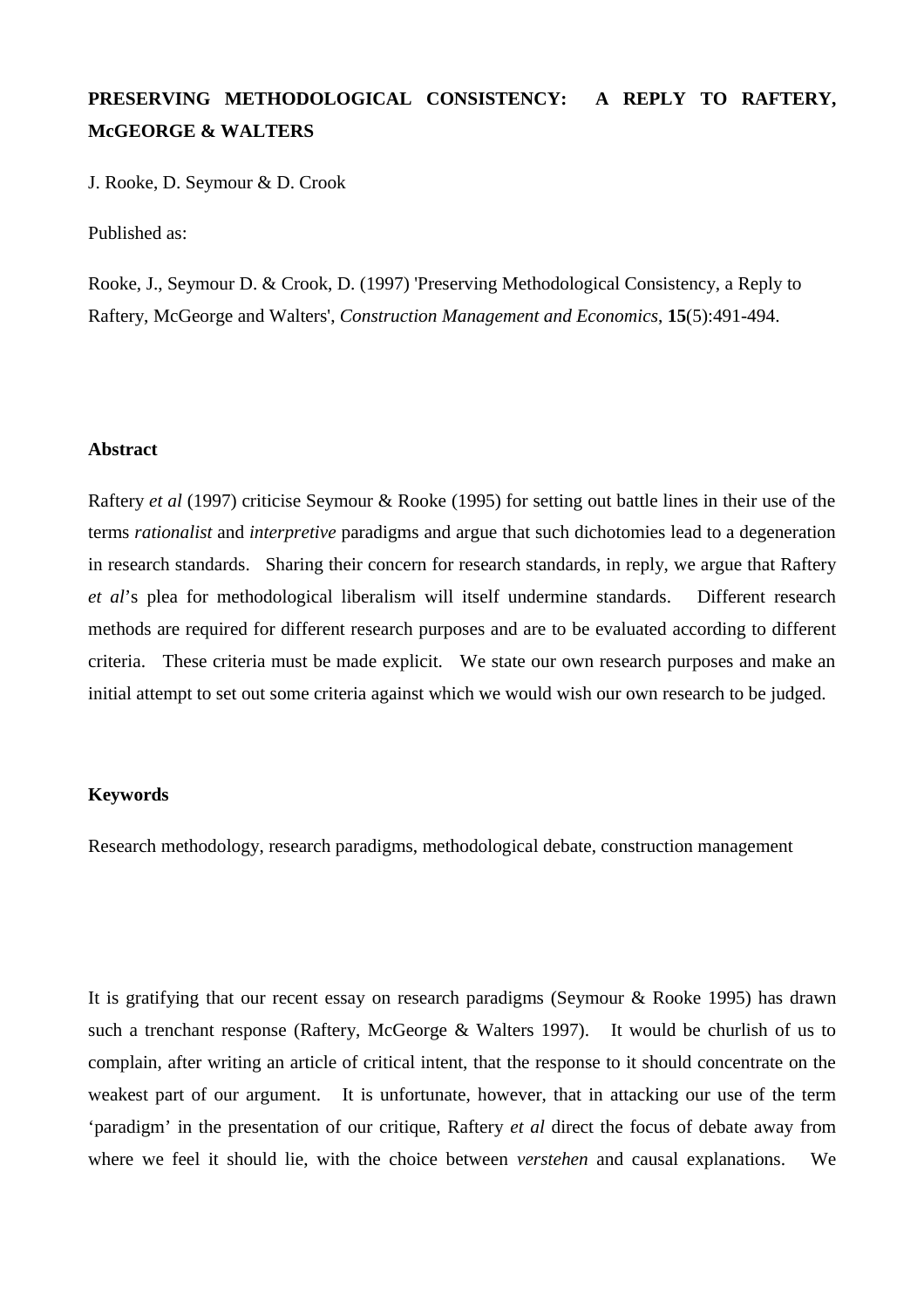## **PRESERVING METHODOLOGICAL CONSISTENCY: A REPLY TO RAFTERY, McGEORGE & WALTERS**

J. Rooke, D. Seymour & D. Crook

Published as:

Rooke, J., Seymour D. & Crook, D. (1997) 'Preserving Methodological Consistency, a Reply to Raftery, McGeorge and Walters', *Construction Management and Economics*, **15**(5):491-494.

#### **Abstract**

Raftery *et al* (1997) criticise Seymour & Rooke (1995) for setting out battle lines in their use of the terms *rationalist* and *interpretive* paradigms and argue that such dichotomies lead to a degeneration in research standards. Sharing their concern for research standards, in reply, we argue that Raftery *et al*'s plea for methodological liberalism will itself undermine standards. Different research methods are required for different research purposes and are to be evaluated according to different criteria. These criteria must be made explicit. We state our own research purposes and make an initial attempt to set out some criteria against which we would wish our own research to be judged.

### **Keywords**

Research methodology, research paradigms, methodological debate, construction management

It is gratifying that our recent essay on research paradigms (Seymour & Rooke 1995) has drawn such a trenchant response (Raftery, McGeorge & Walters 1997). It would be churlish of us to complain, after writing an article of critical intent, that the response to it should concentrate on the weakest part of our argument. It is unfortunate, however, that in attacking our use of the term 'paradigm' in the presentation of our critique, Raftery *et al* direct the focus of debate away from where we feel it should lie, with the choice between *verstehen* and causal explanations. We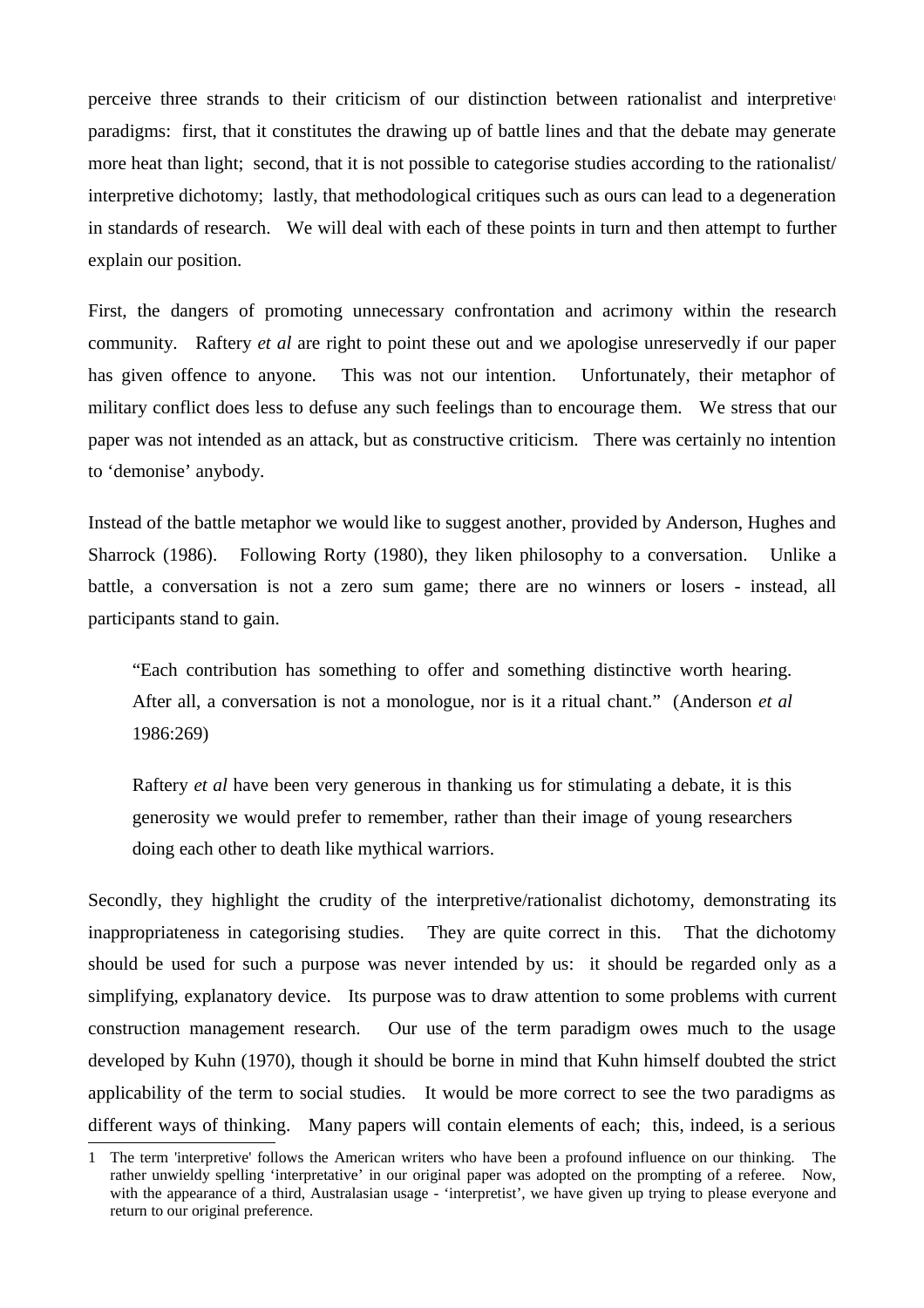perceive three strands to their criticism of our distinction between rationalist and interpretive $\mathbf{u}$ paradigms: first, that it constitutes the drawing up of battle lines and that the debate may generate more heat than light; second, that it is not possible to categorise studies according to the rationalist/ interpretive dichotomy; lastly, that methodological critiques such as ours can lead to a degeneration in standards of research. We will deal with each of these points in turn and then attempt to further explain our position.

First, the dangers of promoting unnecessary confrontation and acrimony within the research community. Raftery *et al* are right to point these out and we apologise unreservedly if our paper has given offence to anyone. This was not our intention. Unfortunately, their metaphor of military conflict does less to defuse any such feelings than to encourage them. We stress that our paper was not intended as an attack, but as constructive criticism. There was certainly no intention to 'demonise' anybody.

Instead of the battle metaphor we would like to suggest another, provided by Anderson, Hughes and Sharrock (1986). Following Rorty (1980), they liken philosophy to a conversation. Unlike a battle, a conversation is not a zero sum game; there are no winners or losers - instead, all participants stand to gain.

"Each contribution has something to offer and something distinctive worth hearing. After all, a conversation is not a monologue, nor is it a ritual chant." (Anderson *et al* 1986:269)

Raftery *et al* have been very generous in thanking us for stimulating a debate, it is this generosity we would prefer to remember, rather than their image of young researchers doing each other to death like mythical warriors.

Secondly, they highlight the crudity of the interpretive/rationalist dichotomy, demonstrating its inappropriateness in categorising studies. They are quite correct in this. That the dichotomy should be used for such a purpose was never intended by us: it should be regarded only as a simplifying, explanatory device. Its purpose was to draw attention to some problems with current construction management research. Our use of the term paradigm owes much to the usage developed by Kuhn (1970), though it should be borne in mind that Kuhn himself doubted the strict applicability of the term to social studies. It would be more correct to see the two paradigms as different ways of thinking. Many papers will contain elements of each; this, indeed, is a serious

<span id="page-2-0"></span><sup>1</sup> The term 'interpretive' follows the American writers who have been a profound influence on our thinking. The rather unwieldy spelling 'interpretative' in our original paper was adopted on the prompting of a referee. Now, with the appearance of a third, Australasian usage - 'interpretist', we have given up trying to please everyone and return to our original preference.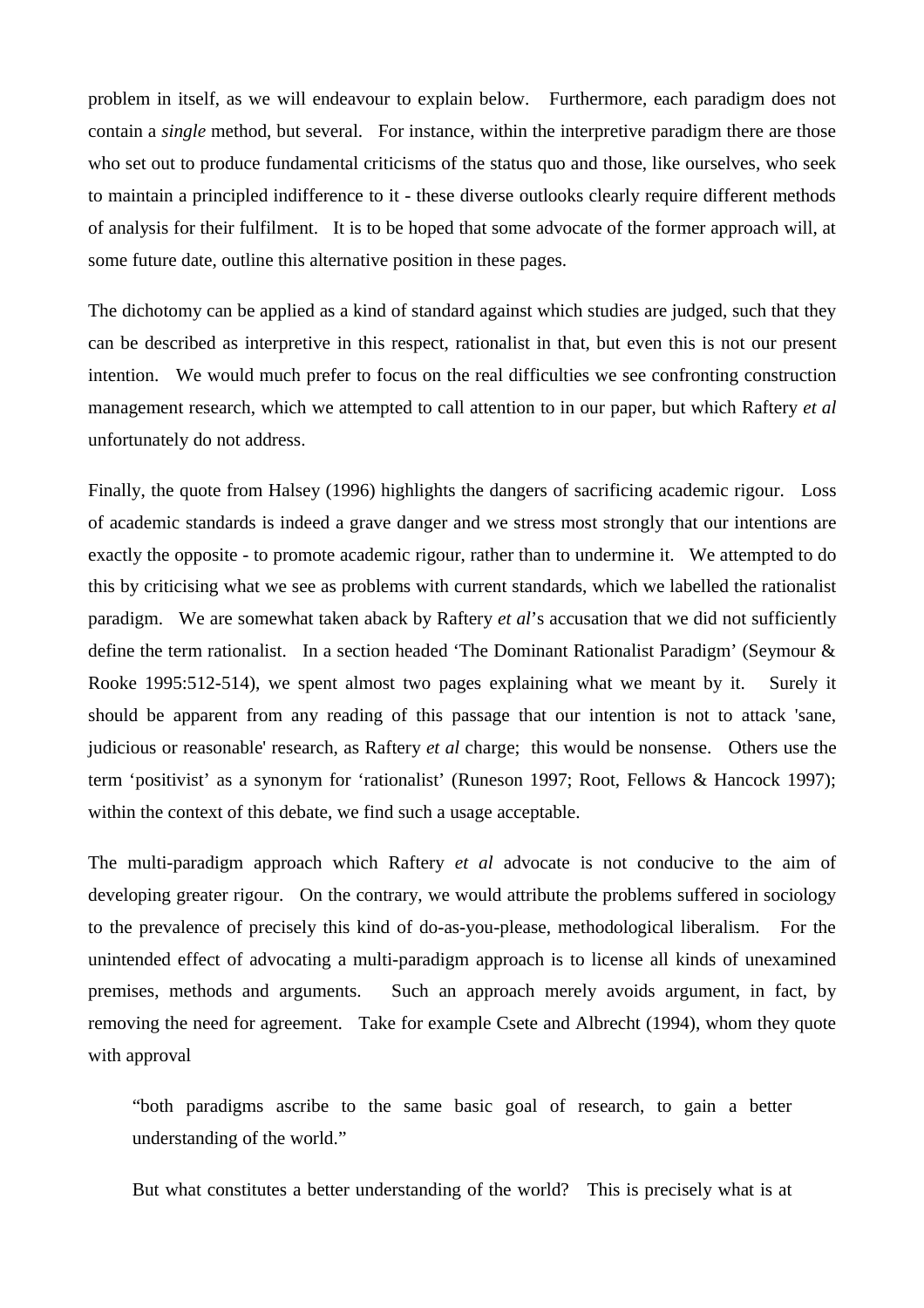problem in itself, as we will endeavour to explain below. Furthermore, each paradigm does not contain a *single* method, but several. For instance, within the interpretive paradigm there are those who set out to produce fundamental criticisms of the status quo and those, like ourselves, who seek to maintain a principled indifference to it - these diverse outlooks clearly require different methods of analysis for their fulfilment. It is to be hoped that some advocate of the former approach will, at some future date, outline this alternative position in these pages.

The dichotomy can be applied as a kind of standard against which studies are judged, such that they can be described as interpretive in this respect, rationalist in that, but even this is not our present intention. We would much prefer to focus on the real difficulties we see confronting construction management research, which we attempted to call attention to in our paper, but which Raftery *et al* unfortunately do not address.

Finally, the quote from Halsey (1996) highlights the dangers of sacrificing academic rigour. Loss of academic standards is indeed a grave danger and we stress most strongly that our intentions are exactly the opposite - to promote academic rigour, rather than to undermine it. We attempted to do this by criticising what we see as problems with current standards, which we labelled the rationalist paradigm. We are somewhat taken aback by Raftery *et al*'s accusation that we did not sufficiently define the term rationalist. In a section headed 'The Dominant Rationalist Paradigm' (Seymour & Rooke 1995:512-514), we spent almost two pages explaining what we meant by it. Surely it should be apparent from any reading of this passage that our intention is not to attack 'sane, judicious or reasonable' research, as Raftery *et al* charge; this would be nonsense. Others use the term 'positivist' as a synonym for 'rationalist' (Runeson 1997; Root, Fellows & Hancock 1997); within the context of this debate, we find such a usage acceptable.

The multi-paradigm approach which Raftery *et al* advocate is not conducive to the aim of developing greater rigour. On the contrary, we would attribute the problems suffered in sociology to the prevalence of precisely this kind of do-as-you-please, methodological liberalism. For the unintended effect of advocating a multi-paradigm approach is to license all kinds of unexamined premises, methods and arguments. Such an approach merely avoids argument, in fact, by removing the need for agreement. Take for example Csete and Albrecht (1994), whom they quote with approval

"both paradigms ascribe to the same basic goal of research, to gain a better understanding of the world."

But what constitutes a better understanding of the world? This is precisely what is at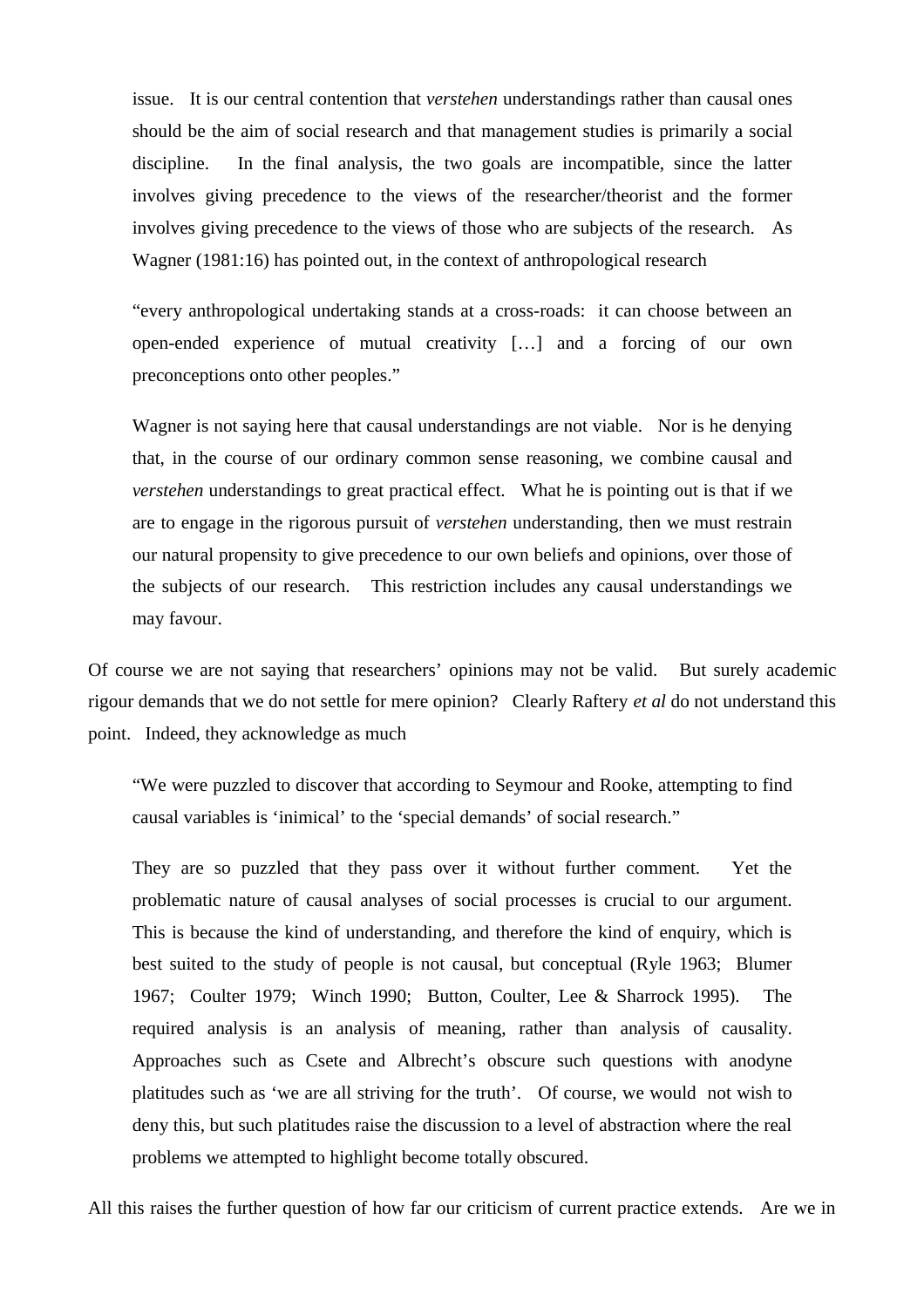issue. It is our central contention that *verstehen* understandings rather than causal ones should be the aim of social research and that management studies is primarily a social discipline. In the final analysis, the two goals are incompatible, since the latter involves giving precedence to the views of the researcher/theorist and the former involves giving precedence to the views of those who are subjects of the research. As Wagner (1981:16) has pointed out, in the context of anthropological research

"every anthropological undertaking stands at a cross-roads: it can choose between an open-ended experience of mutual creativity […] and a forcing of our own preconceptions onto other peoples."

Wagner is not saying here that causal understandings are not viable. Nor is he denying that, in the course of our ordinary common sense reasoning, we combine causal and *verstehen* understandings to great practical effect. What he is pointing out is that if we are to engage in the rigorous pursuit of *verstehen* understanding, then we must restrain our natural propensity to give precedence to our own beliefs and opinions, over those of the subjects of our research. This restriction includes any causal understandings we may favour.

Of course we are not saying that researchers' opinions may not be valid. But surely academic rigour demands that we do not settle for mere opinion? Clearly Raftery *et al* do not understand this point. Indeed, they acknowledge as much

"We were puzzled to discover that according to Seymour and Rooke, attempting to find causal variables is 'inimical' to the 'special demands' of social research."

They are so puzzled that they pass over it without further comment. Yet the problematic nature of causal analyses of social processes is crucial to our argument. This is because the kind of understanding, and therefore the kind of enquiry, which is best suited to the study of people is not causal, but conceptual (Ryle 1963; Blumer 1967; Coulter 1979; Winch 1990; Button, Coulter, Lee & Sharrock 1995). The required analysis is an analysis of meaning, rather than analysis of causality. Approaches such as Csete and Albrecht's obscure such questions with anodyne platitudes such as 'we are all striving for the truth'. Of course, we would not wish to deny this, but such platitudes raise the discussion to a level of abstraction where the real problems we attempted to highlight become totally obscured.

All this raises the further question of how far our criticism of current practice extends. Are we in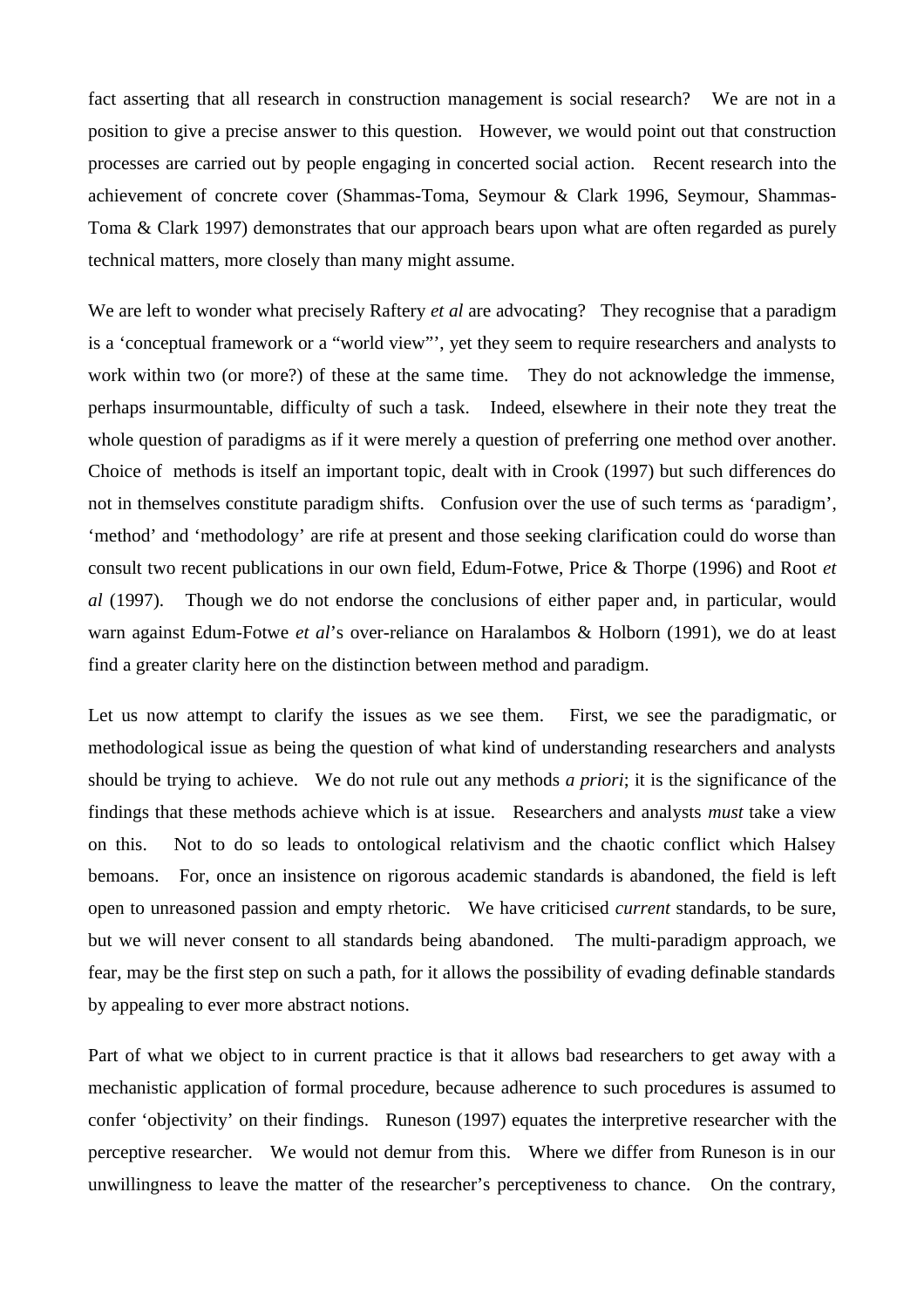fact asserting that all research in construction management is social research? We are not in a position to give a precise answer to this question. However, we would point out that construction processes are carried out by people engaging in concerted social action. Recent research into the achievement of concrete cover (Shammas-Toma, Seymour & Clark 1996, Seymour, Shammas-Toma & Clark 1997) demonstrates that our approach bears upon what are often regarded as purely technical matters, more closely than many might assume.

We are left to wonder what precisely Raftery *et al* are advocating? They recognise that a paradigm is a 'conceptual framework or a "world view"', yet they seem to require researchers and analysts to work within two (or more?) of these at the same time. They do not acknowledge the immense, perhaps insurmountable, difficulty of such a task. Indeed, elsewhere in their note they treat the whole question of paradigms as if it were merely a question of preferring one method over another. Choice of methods is itself an important topic, dealt with in Crook (1997) but such differences do not in themselves constitute paradigm shifts. Confusion over the use of such terms as 'paradigm', 'method' and 'methodology' are rife at present and those seeking clarification could do worse than consult two recent publications in our own field, Edum-Fotwe, Price & Thorpe (1996) and Root *et al* (1997). Though we do not endorse the conclusions of either paper and, in particular, would warn against Edum-Fotwe *et al*'s over-reliance on Haralambos & Holborn (1991), we do at least find a greater clarity here on the distinction between method and paradigm.

Let us now attempt to clarify the issues as we see them. First, we see the paradigmatic, or methodological issue as being the question of what kind of understanding researchers and analysts should be trying to achieve. We do not rule out any methods *a priori*; it is the significance of the findings that these methods achieve which is at issue. Researchers and analysts *must* take a view on this. Not to do so leads to ontological relativism and the chaotic conflict which Halsey bemoans. For, once an insistence on rigorous academic standards is abandoned, the field is left open to unreasoned passion and empty rhetoric. We have criticised *current* standards, to be sure, but we will never consent to all standards being abandoned. The multi-paradigm approach, we fear, may be the first step on such a path, for it allows the possibility of evading definable standards by appealing to ever more abstract notions.

Part of what we object to in current practice is that it allows bad researchers to get away with a mechanistic application of formal procedure, because adherence to such procedures is assumed to confer 'objectivity' on their findings. Runeson (1997) equates the interpretive researcher with the perceptive researcher. We would not demur from this. Where we differ from Runeson is in our unwillingness to leave the matter of the researcher's perceptiveness to chance. On the contrary,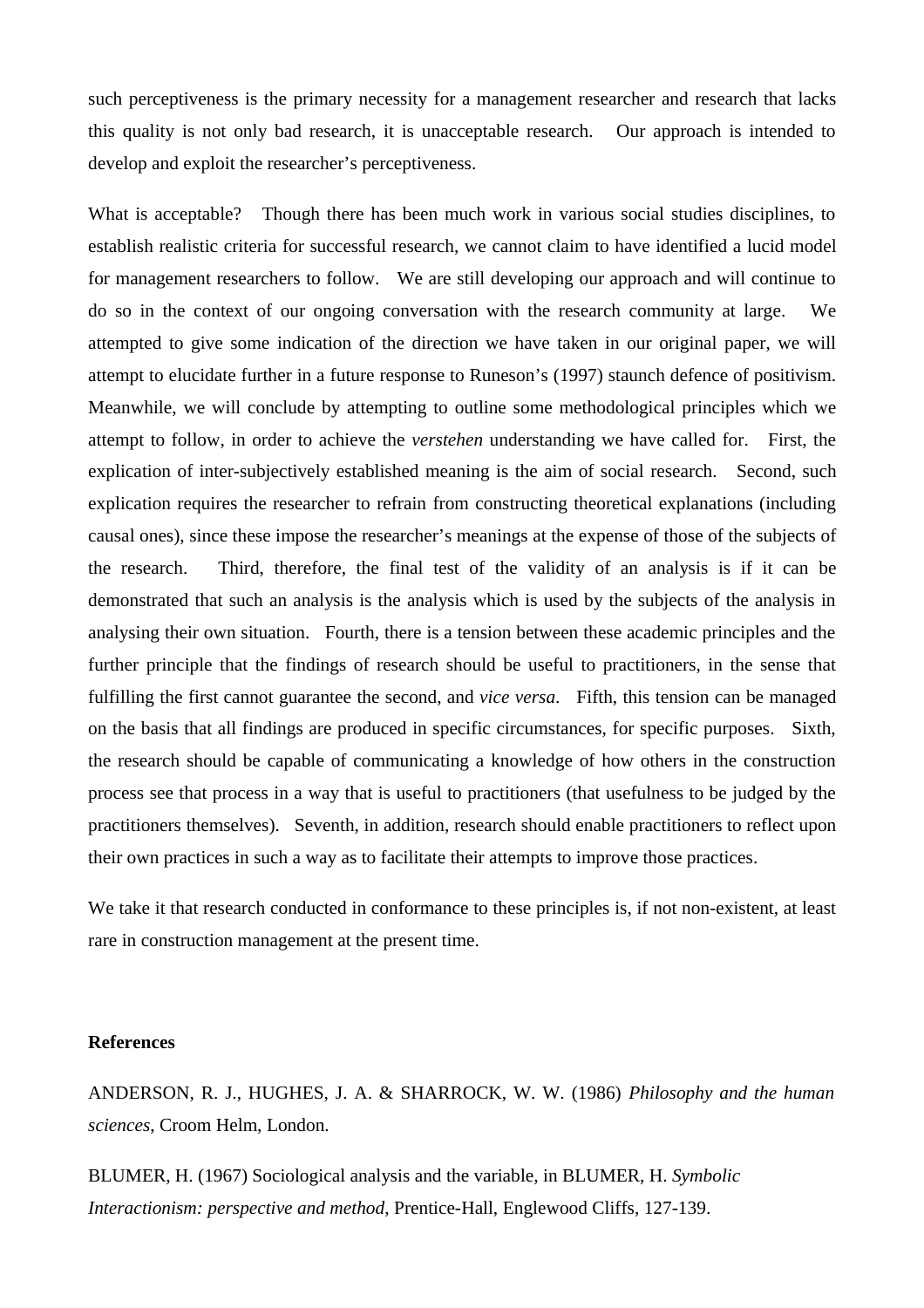such perceptiveness is the primary necessity for a management researcher and research that lacks this quality is not only bad research, it is unacceptable research. Our approach is intended to develop and exploit the researcher's perceptiveness.

What is acceptable? Though there has been much work in various social studies disciplines, to establish realistic criteria for successful research, we cannot claim to have identified a lucid model for management researchers to follow. We are still developing our approach and will continue to do so in the context of our ongoing conversation with the research community at large. We attempted to give some indication of the direction we have taken in our original paper, we will attempt to elucidate further in a future response to Runeson's (1997) staunch defence of positivism. Meanwhile, we will conclude by attempting to outline some methodological principles which we attempt to follow, in order to achieve the *verstehen* understanding we have called for. First, the explication of inter-subjectively established meaning is the aim of social research. Second, such explication requires the researcher to refrain from constructing theoretical explanations (including causal ones), since these impose the researcher's meanings at the expense of those of the subjects of the research. Third, therefore, the final test of the validity of an analysis is if it can be demonstrated that such an analysis is the analysis which is used by the subjects of the analysis in analysing their own situation. Fourth, there is a tension between these academic principles and the further principle that the findings of research should be useful to practitioners, in the sense that fulfilling the first cannot guarantee the second, and *vice versa*. Fifth, this tension can be managed on the basis that all findings are produced in specific circumstances, for specific purposes. Sixth, the research should be capable of communicating a knowledge of how others in the construction process see that process in a way that is useful to practitioners (that usefulness to be judged by the practitioners themselves). Seventh, in addition, research should enable practitioners to reflect upon their own practices in such a way as to facilitate their attempts to improve those practices.

We take it that research conducted in conformance to these principles is, if not non-existent, at least rare in construction management at the present time.

#### **References**

ANDERSON, R. J., HUGHES, J. A. & SHARROCK, W. W. (1986) *Philosophy and the human sciences*, Croom Helm, London.

BLUMER, H. (1967) Sociological analysis and the variable, in BLUMER, H. *Symbolic Interactionism: perspective and method*, Prentice-Hall, Englewood Cliffs, 127-139.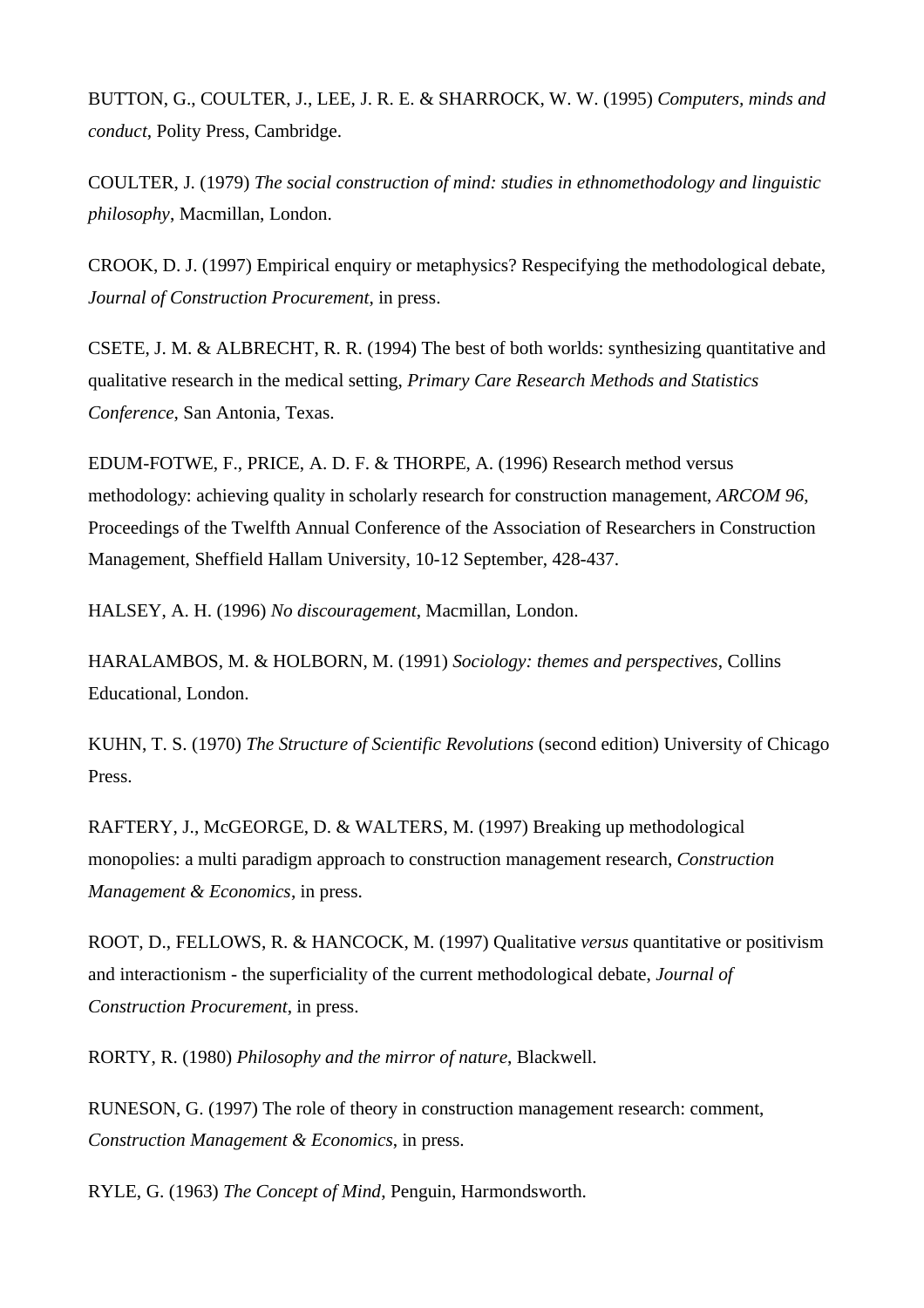BUTTON, G., COULTER, J., LEE, J. R. E. & SHARROCK, W. W. (1995) *Computers, minds and conduct*, Polity Press, Cambridge.

COULTER, J. (1979) *The social construction of mind: studies in ethnomethodology and linguistic philosophy*, Macmillan, London.

CROOK, D. J. (1997) Empirical enquiry or metaphysics? Respecifying the methodological debate, *Journal of Construction Procurement*, in press.

CSETE, J. M. & ALBRECHT, R. R. (1994) The best of both worlds: synthesizing quantitative and qualitative research in the medical setting, *Primary Care Research Methods and Statistics Conference*, San Antonia, Texas.

EDUM-FOTWE, F., PRICE, A. D. F. & THORPE, A. (1996) Research method versus methodology: achieving quality in scholarly research for construction management, *ARCOM 96*, Proceedings of the Twelfth Annual Conference of the Association of Researchers in Construction Management, Sheffield Hallam University, 10-12 September, 428-437.

HALSEY, A. H. (1996) *No discouragement*, Macmillan, London.

HARALAMBOS, M. & HOLBORN, M. (1991) *Sociology: themes and perspectives*, Collins Educational, London.

KUHN, T. S. (1970) *The Structure of Scientific Revolutions* (second edition) University of Chicago Press.

RAFTERY, J., McGEORGE, D. & WALTERS, M. (1997) Breaking up methodological monopolies: a multi paradigm approach to construction management research, *Construction Management & Economics*, in press.

ROOT, D., FELLOWS, R. & HANCOCK, M. (1997) Qualitative *versus* quantitative or positivism and interactionism - the superficiality of the current methodological debate, *Journal of Construction Procurement*, in press.

RORTY, R. (1980) *Philosophy and the mirror of nature*, Blackwell.

RUNESON, G. (1997) The role of theory in construction management research: comment, *Construction Management & Economics*, in press.

RYLE, G. (1963) *The Concept of Mind*, Penguin, Harmondsworth.